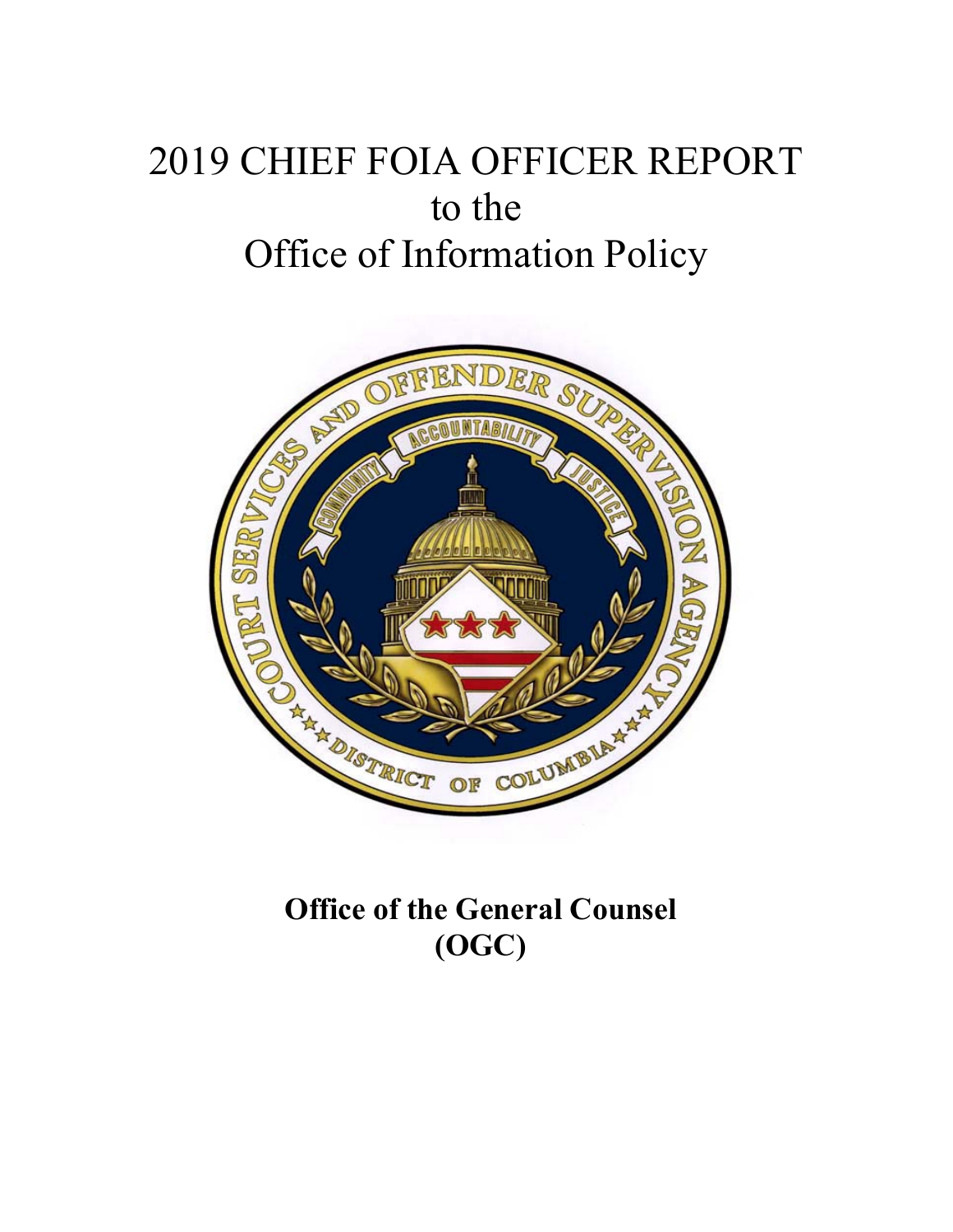# 2019 CHIEF FOIA OFFICER REPORT to the Office of Information Policy



**Office of the General Counsel (OGC)**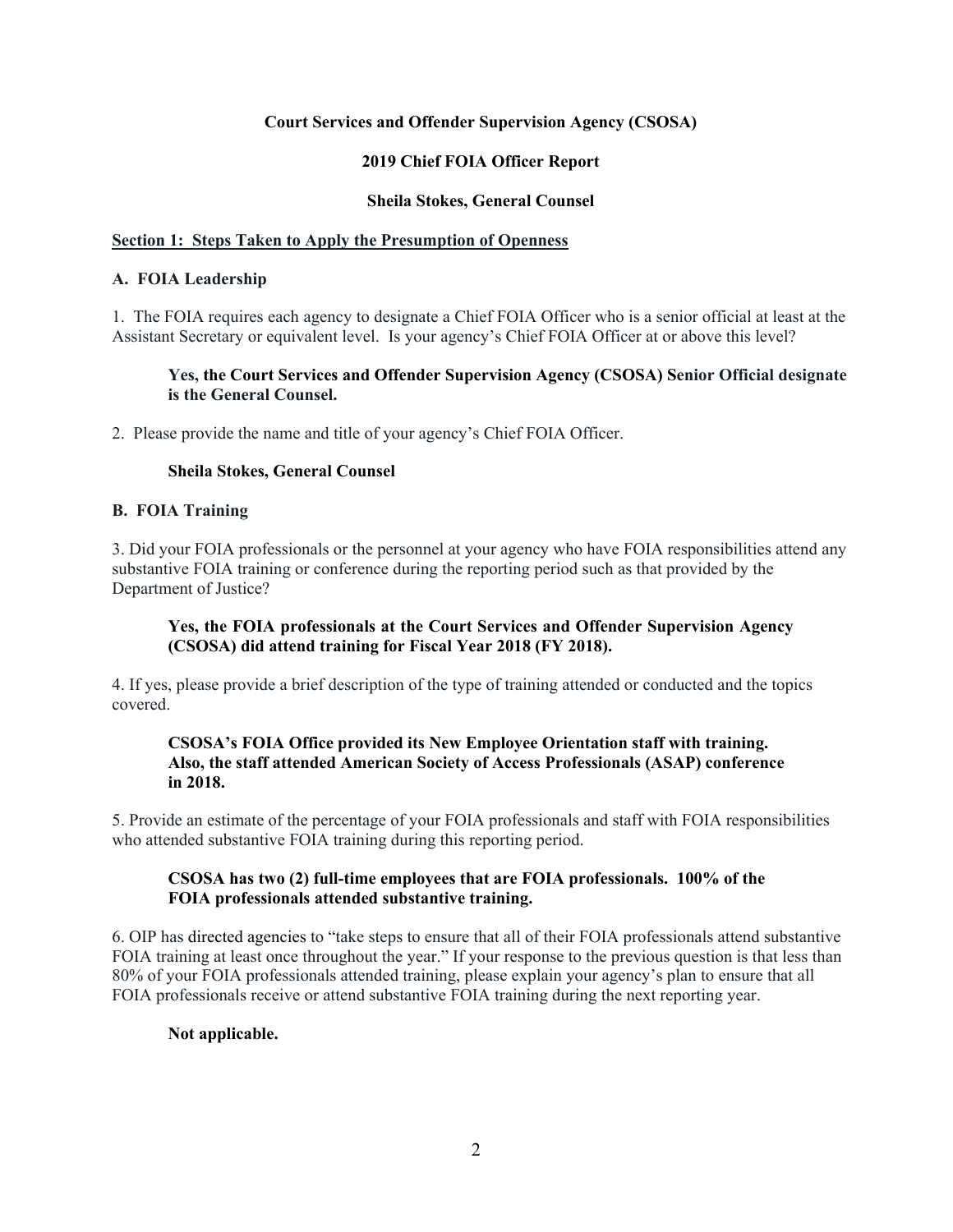## **Court Services and Offender Supervision Agency (CSOSA)**

# **2019 Chief FOIA Officer Report**

## **Sheila Stokes, General Counsel**

## **Section 1: Steps Taken to Apply the Presumption of Openness**

## **A. FOIA Leadership**

1. The FOIA requires each agency to designate a Chief FOIA Officer who is a senior official at least at the Assistant Secretary or equivalent level. Is your agency's Chief FOIA Officer at or above this level?

# **Yes, the Court Services and Offender Supervision Agency (CSOSA) Senior Official designate is the General Counsel.**

2. Please provide the name and title of your agency's Chief FOIA Officer.

# **Sheila Stokes, General Counsel**

## **B. FOIA Training**

3. Did your FOIA professionals or the personnel at your agency who have FOIA responsibilities attend any substantive FOIA training or conference during the reporting period such as that provided by the Department of Justice?

# **Yes, the FOIA professionals at the Court Services and Offender Supervision Agency (CSOSA) did attend training for Fiscal Year 2018 (FY 2018).**

4. If yes, please provide a brief description of the type of training attended or conducted and the topics covered.

## **CSOSA's FOIA Office provided its New Employee Orientation staff with training. Also, the staff attended American Society of Access Professionals (ASAP) conference in 2018.**

5. Provide an estimate of the percentage of your FOIA professionals and staff with FOIA responsibilities who attended substantive FOIA training during this reporting period.

# **CSOSA has two (2) full-time employees that are FOIA professionals. 100% of the FOIA professionals attended substantive training.**

6. OIP has directed agencies to "take steps to ensure that all of their FOIA professionals attend substantive FOIA training at least once throughout the year." If your response to the previous question is that less than 80% of your FOIA professionals attended training, please explain your agency's plan to ensure that all FOIA professionals receive or attend substantive FOIA training during the next reporting year.

## **Not applicable.**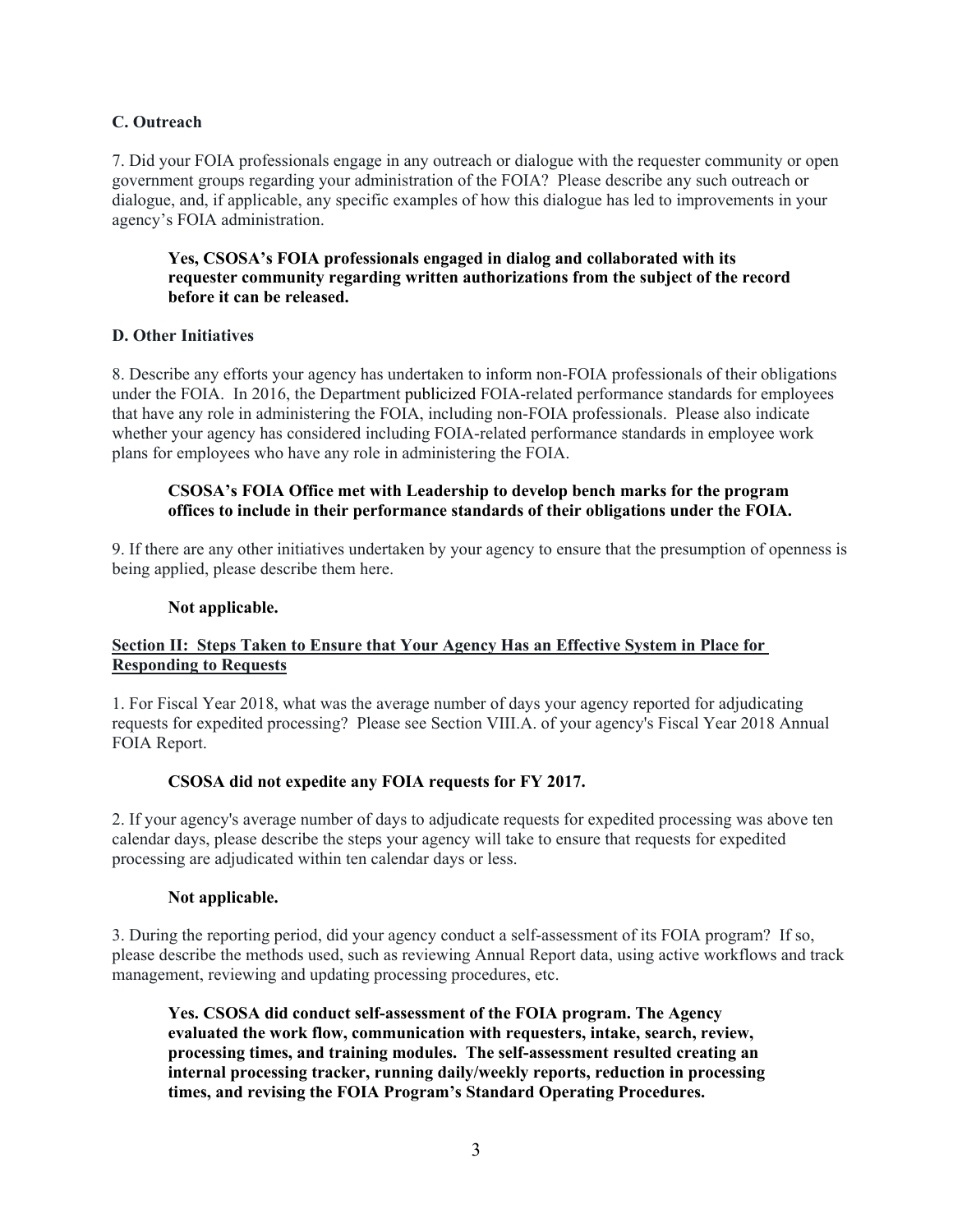# **C. Outreach**

7. Did your FOIA professionals engage in any outreach or dialogue with the requester community or open government groups regarding your administration of the FOIA? Please describe any such outreach or dialogue, and, if applicable, any specific examples of how this dialogue has led to improvements in your agency's FOIA administration.

# **Yes, CSOSA's FOIA professionals engaged in dialog and collaborated with its requester community regarding written authorizations from the subject of the record before it can be released.**

# **D. Other Initiatives**

8. Describe any efforts your agency has undertaken to inform non-FOIA professionals of their obligations under the FOIA. In 2016, the Department publicized FOIA-related performance standards for employees that have any role in administering the FOIA, including non-FOIA professionals. Please also indicate whether your agency has considered including FOIA-related performance standards in employee work plans for employees who have any role in administering the FOIA.

## **CSOSA's FOIA Office met with Leadership to develop bench marks for the program offices to include in their performance standards of their obligations under the FOIA.**

9. If there are any other initiatives undertaken by your agency to ensure that the presumption of openness is being applied, please describe them here.

## **Not applicable.**

# **Section II: Steps Taken to Ensure that Your Agency Has an Effective System in Place for Responding to Requests**

1. For Fiscal Year 2018, what was the average number of days your agency reported for adjudicating requests for expedited processing? Please see Section VIII.A. of your agency's Fiscal Year 2018 Annual FOIA Report.

## **CSOSA did not expedite any FOIA requests for FY 2017.**

2. If your agency's average number of days to adjudicate requests for expedited processing was above ten calendar days, please describe the steps your agency will take to ensure that requests for expedited processing are adjudicated within ten calendar days or less.

## **Not applicable.**

3. During the reporting period, did your agency conduct a self-assessment of its FOIA program? If so, please describe the methods used, such as reviewing Annual Report data, using active workflows and track management, reviewing and updating processing procedures, etc.

**Yes. CSOSA did conduct self-assessment of the FOIA program. The Agency evaluated the work flow, communication with requesters, intake, search, review, processing times, and training modules. The self-assessment resulted creating an internal processing tracker, running daily/weekly reports, reduction in processing times, and revising the FOIA Program's Standard Operating Procedures.**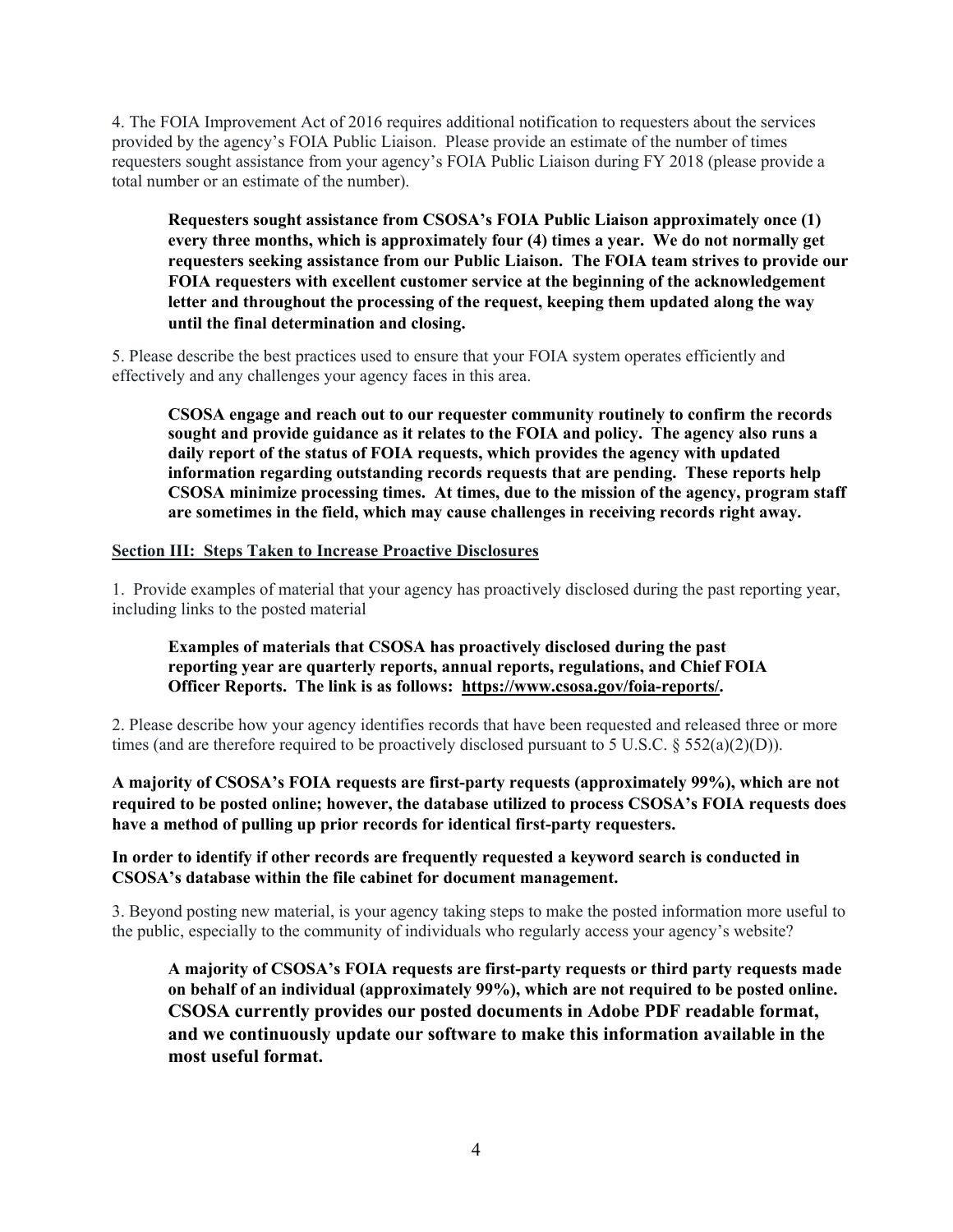4. The FOIA Improvement Act of 2016 requires additional notification to requesters about the services provided by the agency's FOIA Public Liaison. Please provide an estimate of the number of times requesters sought assistance from your agency's FOIA Public Liaison during FY 2018 (please provide a total number or an estimate of the number).

**Requesters sought assistance from CSOSA's FOIA Public Liaison approximately once (1) every three months, which is approximately four (4) times a year. We do not normally get requesters seeking assistance from our Public Liaison. The FOIA team strives to provide our FOIA requesters with excellent customer service at the beginning of the acknowledgement letter and throughout the processing of the request, keeping them updated along the way until the final determination and closing.** 

5. Please describe the best practices used to ensure that your FOIA system operates efficiently and effectively and any challenges your agency faces in this area.

**CSOSA engage and reach out to our requester community routinely to confirm the records sought and provide guidance as it relates to the FOIA and policy. The agency also runs a daily report of the status of FOIA requests, which provides the agency with updated information regarding outstanding records requests that are pending. These reports help CSOSA minimize processing times. At times, due to the mission of the agency, program staff are sometimes in the field, which may cause challenges in receiving records right away.** 

#### **Section III: Steps Taken to Increase Proactive Disclosures**

1. Provide examples of material that your agency has proactively disclosed during the past reporting year, including links to the posted material

## **Examples of materials that CSOSA has proactively disclosed during the past reporting year are quarterly reports, annual reports, regulations, and Chief FOIA Officer Reports. The link is as follows: https://www.csosa.gov/foia-reports/.**

2. Please describe how your agency identifies records that have been requested and released three or more times (and are therefore required to be proactively disclosed pursuant to 5 U.S.C. § 552(a)(2)(D)).

## **A majority of CSOSA's FOIA requests are first-party requests (approximately 99%), which are not required to be posted online; however, the database utilized to process CSOSA's FOIA requests does have a method of pulling up prior records for identical first-party requesters.**

#### **In order to identify if other records are frequently requested a keyword search is conducted in CSOSA's database within the file cabinet for document management.**

3. Beyond posting new material, is your agency taking steps to make the posted information more useful to the public, especially to the community of individuals who regularly access your agency's website?

**A majority of CSOSA's FOIA requests are first-party requests or third party requests made on behalf of an individual (approximately 99%), which are not required to be posted online. CSOSA currently provides our posted documents in Adobe PDF readable format, and we continuously update our software to make this information available in the most useful format.**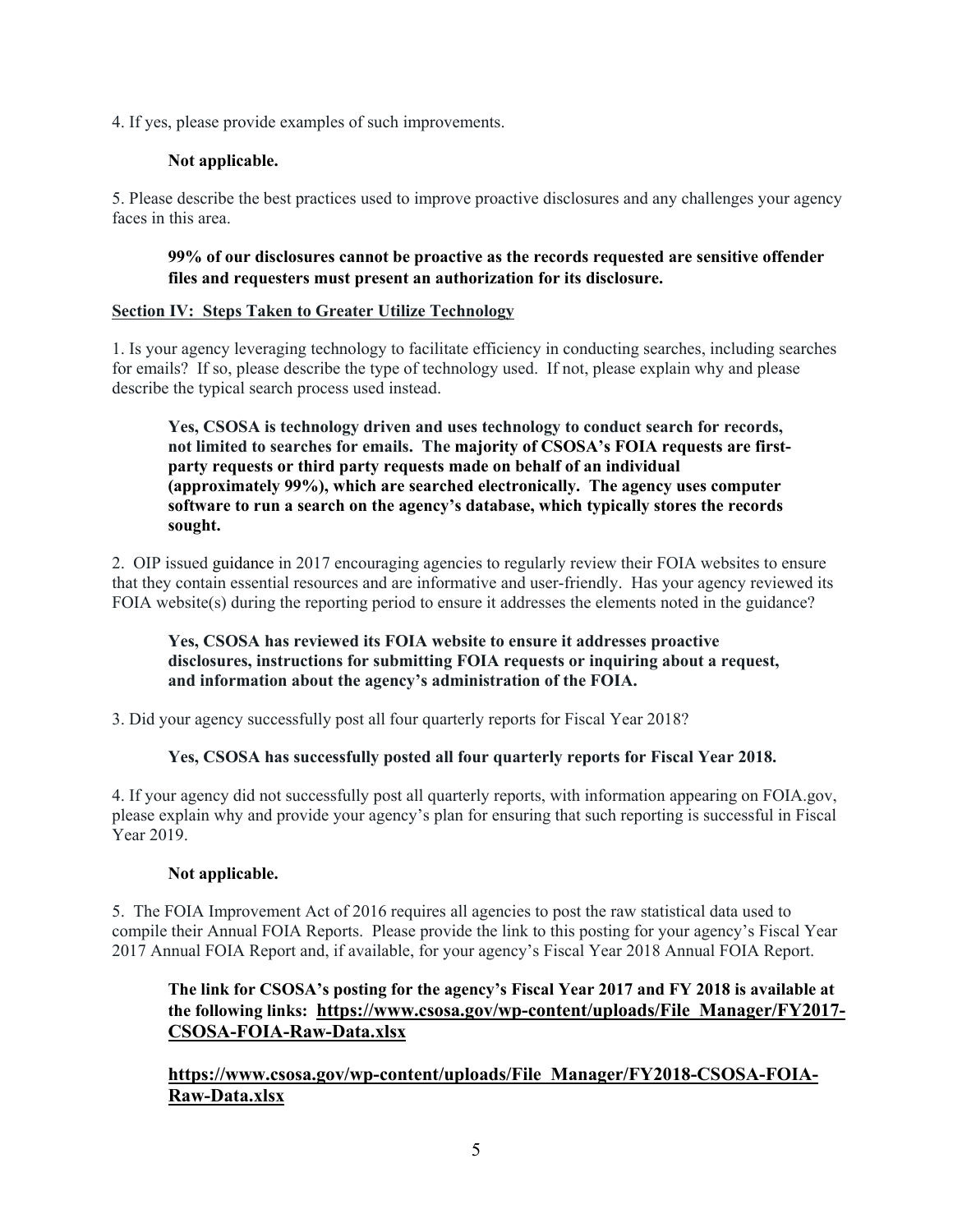4. If yes, please provide examples of such improvements.

# **Not applicable.**

5. Please describe the best practices used to improve proactive disclosures and any challenges your agency faces in this area.

# **99% of our disclosures cannot be proactive as the records requested are sensitive offender files and requesters must present an authorization for its disclosure.**

## **Section IV: Steps Taken to Greater Utilize Technology**

1. Is your agency leveraging technology to facilitate efficiency in conducting searches, including searches for emails? If so, please describe the type of technology used. If not, please explain why and please describe the typical search process used instead.

**Yes, CSOSA is technology driven and uses technology to conduct search for records, not limited to searches for emails. The majority of CSOSA's FOIA requests are firstparty requests or third party requests made on behalf of an individual (approximately 99%), which are searched electronically. The agency uses computer software to run a search on the agency's database, which typically stores the records sought.** 

2. OIP issued guidance in 2017 encouraging agencies to regularly review their FOIA websites to ensure that they contain essential resources and are informative and user-friendly. Has your agency reviewed its FOIA website(s) during the reporting period to ensure it addresses the elements noted in the guidance?

# **Yes, CSOSA has reviewed its FOIA website to ensure it addresses proactive disclosures, instructions for submitting FOIA requests or inquiring about a request, and information about the agency's administration of the FOIA.**

3. Did your agency successfully post all four quarterly reports for Fiscal Year 2018?

# **Yes, CSOSA has successfully posted all four quarterly reports for Fiscal Year 2018.**

4. If your agency did not successfully post all quarterly reports, with information appearing on FOIA.gov, please explain why and provide your agency's plan for ensuring that such reporting is successful in Fiscal Year 2019.

# **Not applicable.**

5. The FOIA Improvement Act of 2016 requires all agencies to post the raw statistical data used to compile their Annual FOIA Reports. Please provide the link to this posting for your agency's Fiscal Year 2017 Annual FOIA Report and, if available, for your agency's Fiscal Year 2018 Annual FOIA Report.

# **The link for CSOSA's posting for the agency's Fiscal Year 2017 and FY 2018 is available at the following links: https://www.csosa.gov/wp-content/uploads/File\_Manager/FY2017- CSOSA-FOIA-Raw-Data.xlsx**

**https://www.csosa.gov/wp-content/uploads/File\_Manager/FY2018-CSOSA-FOIA-Raw-Data.xlsx**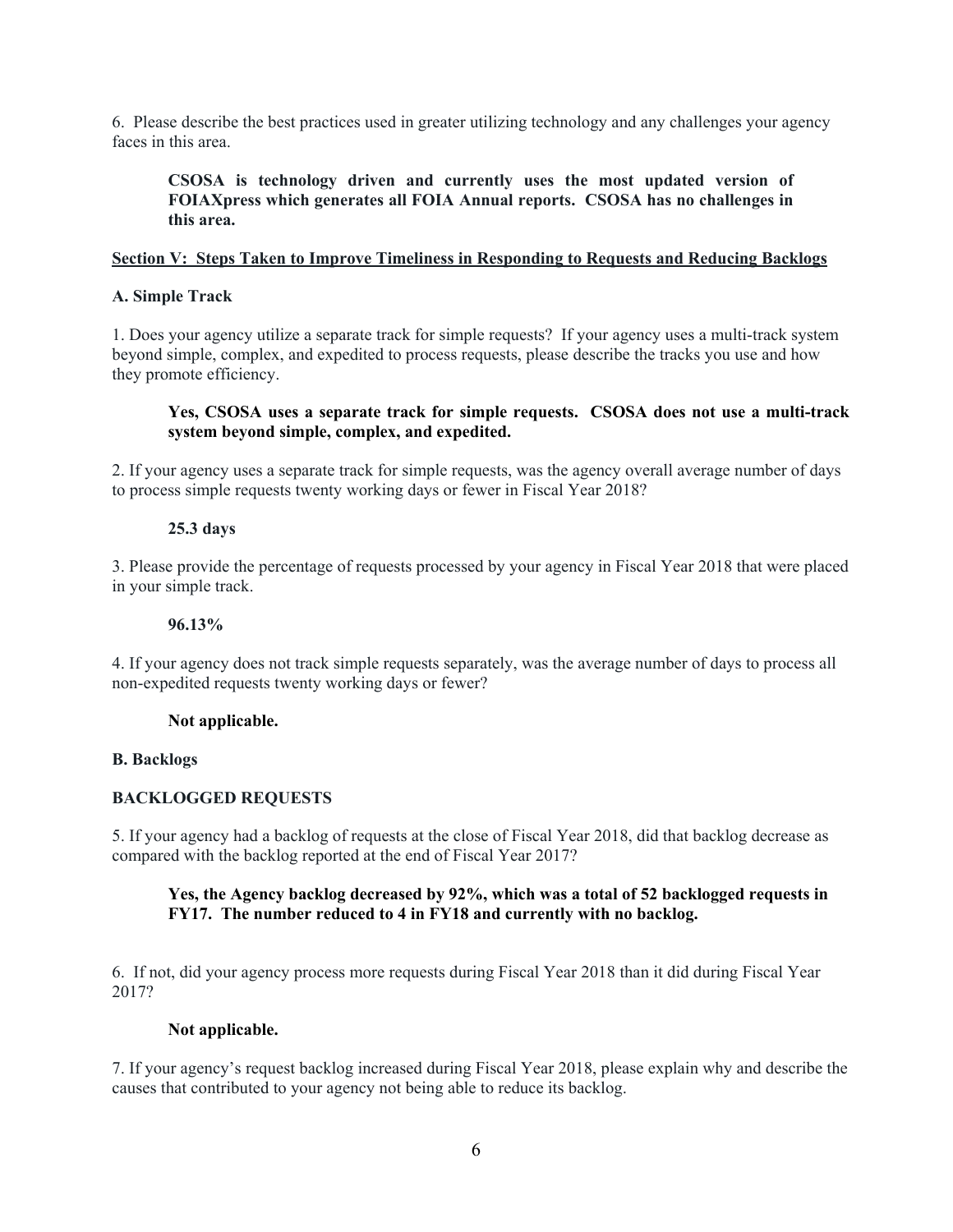6. Please describe the best practices used in greater utilizing technology and any challenges your agency faces in this area.

**CSOSA is technology driven and currently uses the most updated version of FOIAXpress which generates all FOIA Annual reports. CSOSA has no challenges in this area.**

# **Section V: Steps Taken to Improve Timeliness in Responding to Requests and Reducing Backlogs**

## **A. Simple Track**

1. Does your agency utilize a separate track for simple requests? If your agency uses a multi-track system beyond simple, complex, and expedited to process requests, please describe the tracks you use and how they promote efficiency.

## **Yes, CSOSA uses a separate track for simple requests. CSOSA does not use a multi-track system beyond simple, complex, and expedited.**

2. If your agency uses a separate track for simple requests, was the agency overall average number of days to process simple requests twenty working days or fewer in Fiscal Year 2018?

## **25.3 days**

3. Please provide the percentage of requests processed by your agency in Fiscal Year 2018 that were placed in your simple track.

#### **96.13%**

4. If your agency does not track simple requests separately, was the average number of days to process all non-expedited requests twenty working days or fewer?

#### **Not applicable.**

#### **B. Backlogs**

## **BACKLOGGED REQUESTS**

5. If your agency had a backlog of requests at the close of Fiscal Year 2018, did that backlog decrease as compared with the backlog reported at the end of Fiscal Year 2017?

## **Yes, the Agency backlog decreased by 92%, which was a total of 52 backlogged requests in FY17. The number reduced to 4 in FY18 and currently with no backlog.**

6. If not, did your agency process more requests during Fiscal Year 2018 than it did during Fiscal Year 2017?

#### **Not applicable.**

7. If your agency's request backlog increased during Fiscal Year 2018, please explain why and describe the causes that contributed to your agency not being able to reduce its backlog.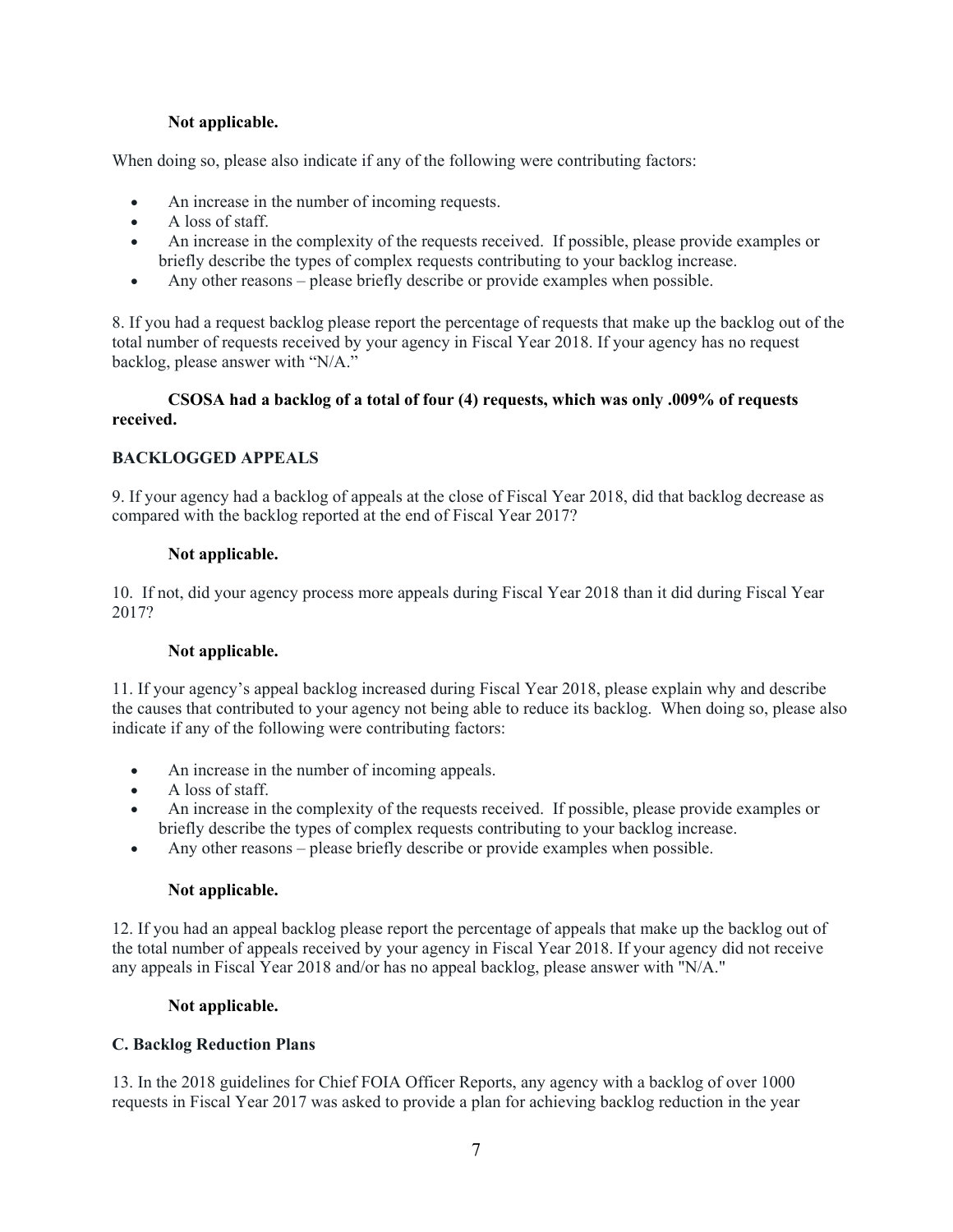# **Not applicable.**

When doing so, please also indicate if any of the following were contributing factors:

- An increase in the number of incoming requests.
- A loss of staff.
- An increase in the complexity of the requests received. If possible, please provide examples or briefly describe the types of complex requests contributing to your backlog increase.
- Any other reasons please briefly describe or provide examples when possible.

8. If you had a request backlog please report the percentage of requests that make up the backlog out of the total number of requests received by your agency in Fiscal Year 2018. If your agency has no request backlog, please answer with "N/A."

# **CSOSA had a backlog of a total of four (4) requests, which was only .009% of requests received.**

# **BACKLOGGED APPEALS**

9. If your agency had a backlog of appeals at the close of Fiscal Year 2018, did that backlog decrease as compared with the backlog reported at the end of Fiscal Year 2017?

# **Not applicable.**

10. If not, did your agency process more appeals during Fiscal Year 2018 than it did during Fiscal Year 2017?

# **Not applicable.**

11. If your agency's appeal backlog increased during Fiscal Year 2018, please explain why and describe the causes that contributed to your agency not being able to reduce its backlog. When doing so, please also indicate if any of the following were contributing factors:

- An increase in the number of incoming appeals.
- A loss of staff.
- An increase in the complexity of the requests received. If possible, please provide examples or briefly describe the types of complex requests contributing to your backlog increase.
- Any other reasons please briefly describe or provide examples when possible.

## **Not applicable.**

12. If you had an appeal backlog please report the percentage of appeals that make up the backlog out of the total number of appeals received by your agency in Fiscal Year 2018. If your agency did not receive any appeals in Fiscal Year 2018 and/or has no appeal backlog, please answer with "N/A."

## **Not applicable.**

# **C. Backlog Reduction Plans**

13. In the 2018 guidelines for Chief FOIA Officer Reports, any agency with a backlog of over 1000 requests in Fiscal Year 2017 was asked to provide a plan for achieving backlog reduction in the year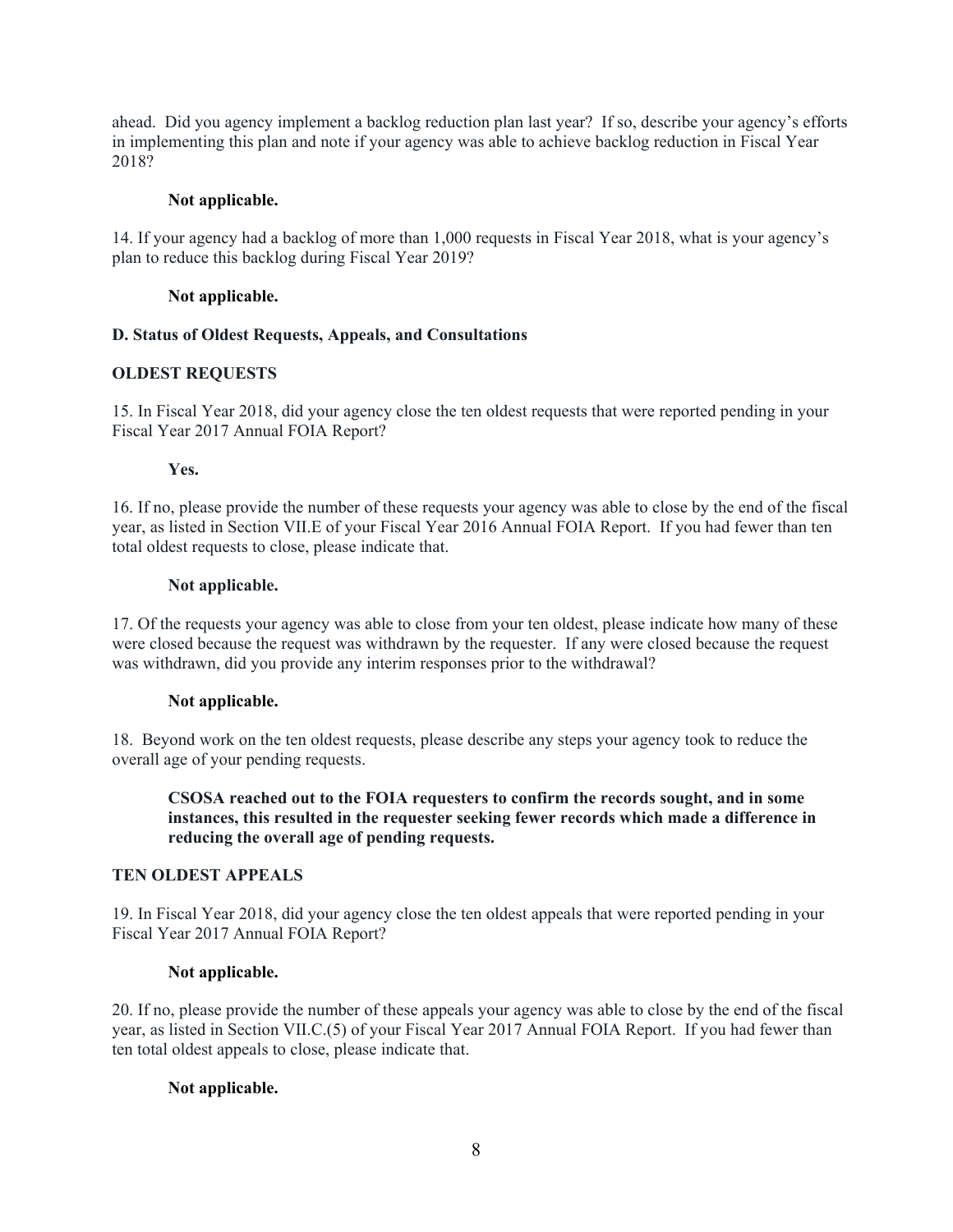ahead. Did you agency implement a backlog reduction plan last year? If so, describe your agency's efforts in implementing this plan and note if your agency was able to achieve backlog reduction in Fiscal Year 2018?

#### **Not applicable.**

14. If your agency had a backlog of more than 1,000 requests in Fiscal Year 2018, what is your agency's plan to reduce this backlog during Fiscal Year 2019?

### **Not applicable.**

#### **D. Status of Oldest Requests, Appeals, and Consultations**

#### **OLDEST REQUESTS**

15. In Fiscal Year 2018, did your agency close the ten oldest requests that were reported pending in your Fiscal Year 2017 Annual FOIA Report?

#### **Yes.**

16. If no, please provide the number of these requests your agency was able to close by the end of the fiscal year, as listed in Section VII.E of your Fiscal Year 2016 Annual FOIA Report. If you had fewer than ten total oldest requests to close, please indicate that.

#### **Not applicable.**

17. Of the requests your agency was able to close from your ten oldest, please indicate how many of these were closed because the request was withdrawn by the requester. If any were closed because the request was withdrawn, did you provide any interim responses prior to the withdrawal?

## **Not applicable.**

18. Beyond work on the ten oldest requests, please describe any steps your agency took to reduce the overall age of your pending requests.

## **CSOSA reached out to the FOIA requesters to confirm the records sought, and in some instances, this resulted in the requester seeking fewer records which made a difference in reducing the overall age of pending requests.**

#### **TEN OLDEST APPEALS**

19. In Fiscal Year 2018, did your agency close the ten oldest appeals that were reported pending in your Fiscal Year 2017 Annual FOIA Report?

## **Not applicable.**

20. If no, please provide the number of these appeals your agency was able to close by the end of the fiscal year, as listed in Section VII.C.(5) of your Fiscal Year 2017 Annual FOIA Report. If you had fewer than ten total oldest appeals to close, please indicate that.

## **Not applicable.**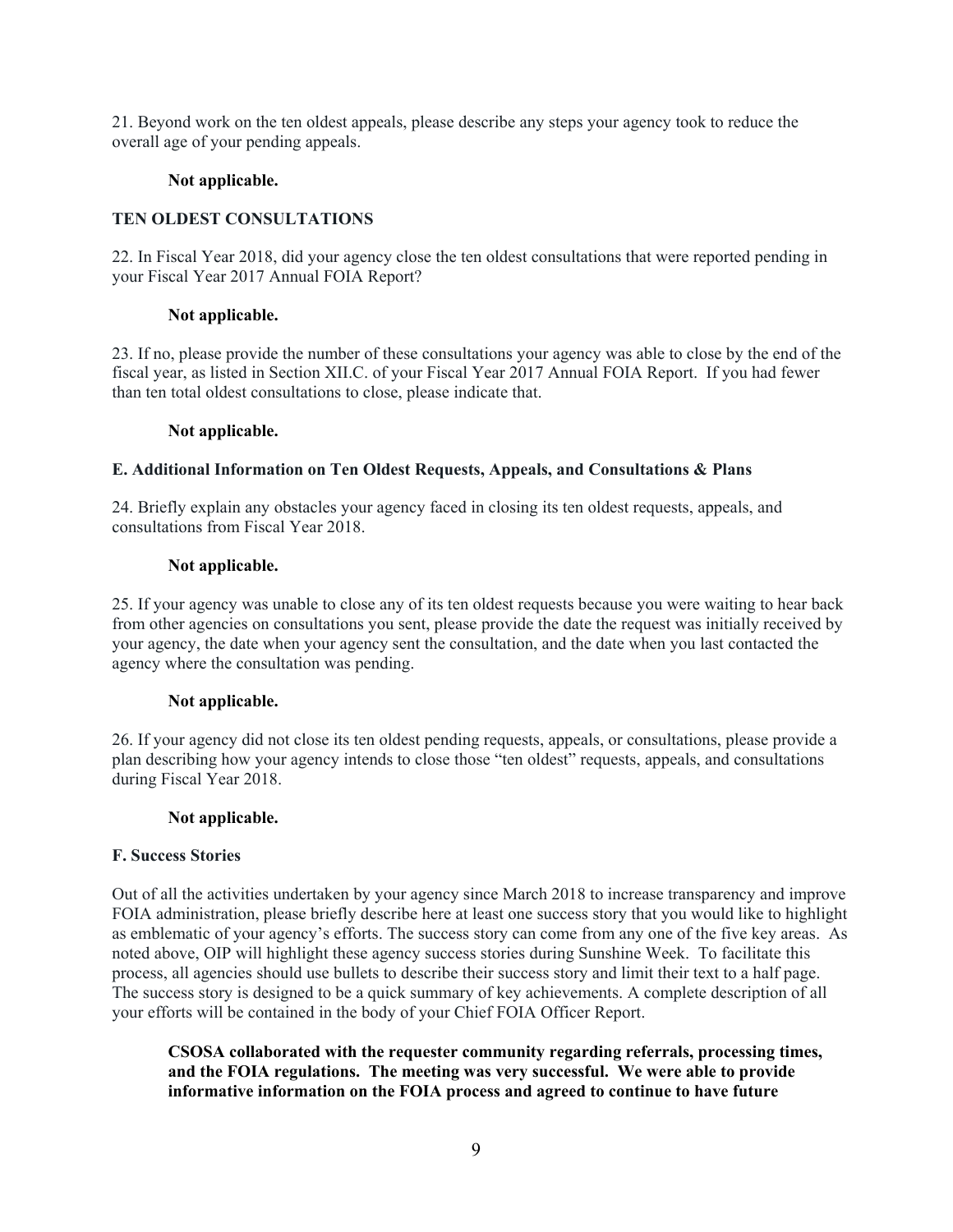21. Beyond work on the ten oldest appeals, please describe any steps your agency took to reduce the overall age of your pending appeals.

# **Not applicable.**

# **TEN OLDEST CONSULTATIONS**

22. In Fiscal Year 2018, did your agency close the ten oldest consultations that were reported pending in your Fiscal Year 2017 Annual FOIA Report?

## **Not applicable.**

23. If no, please provide the number of these consultations your agency was able to close by the end of the fiscal year, as listed in Section XII.C. of your Fiscal Year 2017 Annual FOIA Report. If you had fewer than ten total oldest consultations to close, please indicate that.

#### **Not applicable.**

## **E. Additional Information on Ten Oldest Requests, Appeals, and Consultations & Plans**

24. Briefly explain any obstacles your agency faced in closing its ten oldest requests, appeals, and consultations from Fiscal Year 2018.

#### **Not applicable.**

25. If your agency was unable to close any of its ten oldest requests because you were waiting to hear back from other agencies on consultations you sent, please provide the date the request was initially received by your agency, the date when your agency sent the consultation, and the date when you last contacted the agency where the consultation was pending.

## **Not applicable.**

26. If your agency did not close its ten oldest pending requests, appeals, or consultations, please provide a plan describing how your agency intends to close those "ten oldest" requests, appeals, and consultations during Fiscal Year 2018.

## **Not applicable.**

## **F. Success Stories**

Out of all the activities undertaken by your agency since March 2018 to increase transparency and improve FOIA administration, please briefly describe here at least one success story that you would like to highlight as emblematic of your agency's efforts. The success story can come from any one of the five key areas. As noted above, OIP will highlight these agency success stories during Sunshine Week. To facilitate this process, all agencies should use bullets to describe their success story and limit their text to a half page. The success story is designed to be a quick summary of key achievements. A complete description of all your efforts will be contained in the body of your Chief FOIA Officer Report.

**CSOSA collaborated with the requester community regarding referrals, processing times, and the FOIA regulations. The meeting was very successful. We were able to provide informative information on the FOIA process and agreed to continue to have future**